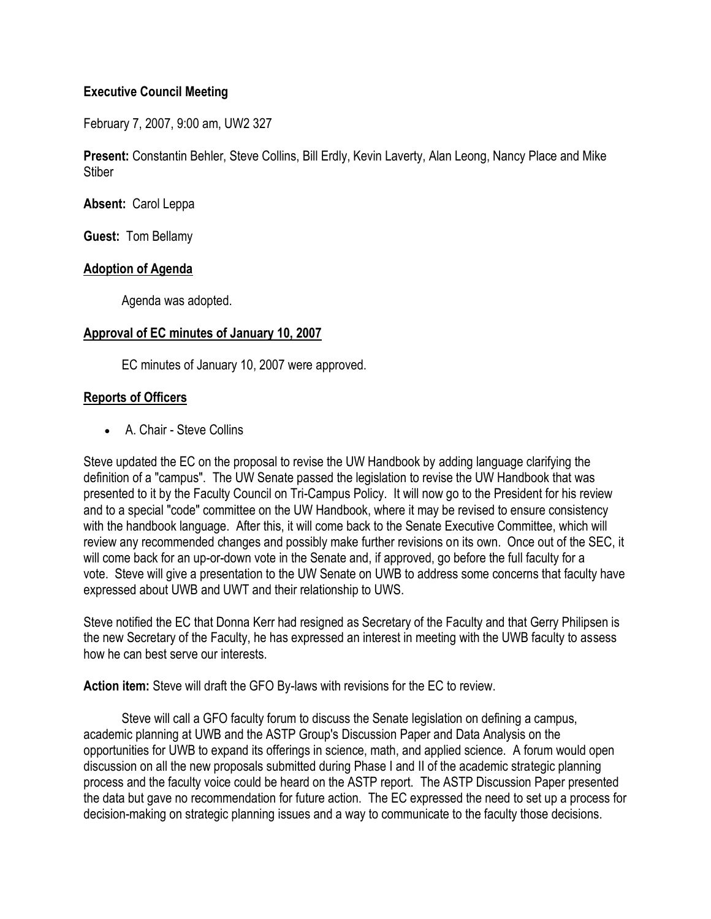## **Executive Council Meeting**

February 7, 2007, 9:00 am, UW2 327

**Present:** Constantin Behler, Steve Collins, Bill Erdly, Kevin Laverty, Alan Leong, Nancy Place and Mike **Stiber** 

**Absent:** Carol Leppa

**Guest:** Tom Bellamy

#### **Adoption of Agenda**

Agenda was adopted.

#### **Approval of EC minutes of January 10, 2007**

EC minutes of January 10, 2007 were approved.

# **Reports of Officers**

• A. Chair - Steve Collins

Steve updated the EC on the proposal to revise the UW Handbook by adding language clarifying the definition of a "campus". The UW Senate passed the legislation to revise the UW Handbook that was presented to it by the Faculty Council on Tri-Campus Policy. It will now go to the President for his review and to a special "code" committee on the UW Handbook, where it may be revised to ensure consistency with the handbook language. After this, it will come back to the Senate Executive Committee, which will review any recommended changes and possibly make further revisions on its own. Once out of the SEC, it will come back for an up-or-down vote in the Senate and, if approved, go before the full faculty for a vote. Steve will give a presentation to the UW Senate on UWB to address some concerns that faculty have expressed about UWB and UWT and their relationship to UWS.

Steve notified the EC that Donna Kerr had resigned as Secretary of the Faculty and that Gerry Philipsen is the new Secretary of the Faculty, he has expressed an interest in meeting with the UWB faculty to assess how he can best serve our interests.

**Action item:** Steve will draft the GFO By-laws with revisions for the EC to review.

 Steve will call a GFO faculty forum to discuss the Senate legislation on defining a campus, academic planning at UWB and the ASTP Group's Discussion Paper and Data Analysis on the opportunities for UWB to expand its offerings in science, math, and applied science. A forum would open discussion on all the new proposals submitted during Phase I and II of the academic strategic planning process and the faculty voice could be heard on the ASTP report. The ASTP Discussion Paper presented the data but gave no recommendation for future action. The EC expressed the need to set up a process for decision-making on strategic planning issues and a way to communicate to the faculty those decisions.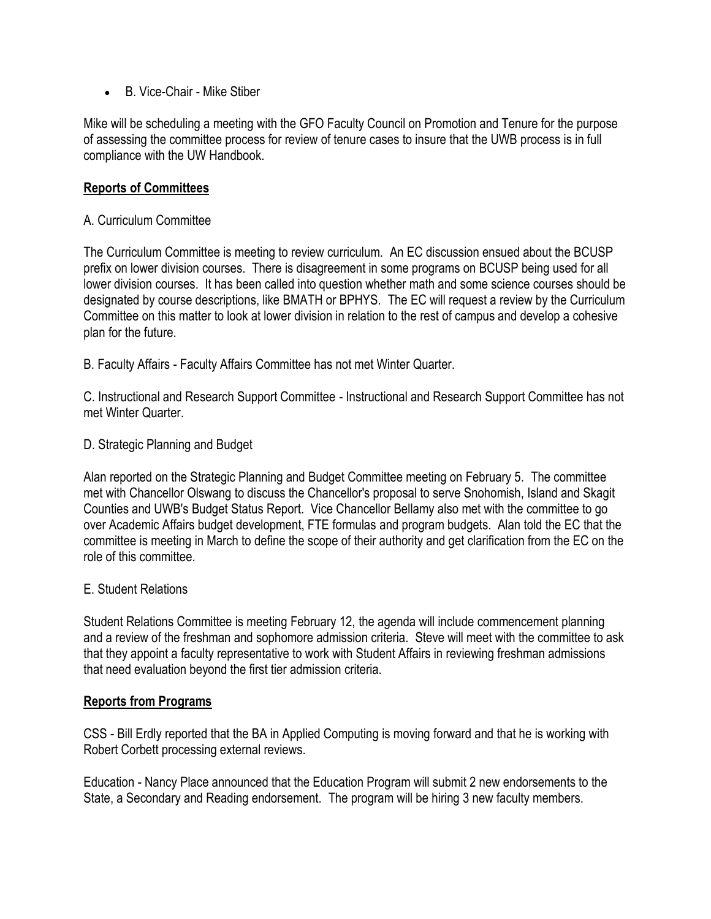B. Vice-Chair - Mike Stiber

Mike will be scheduling a meeting with the GFO Faculty Council on Promotion and Tenure for the purpose of assessing the committee process for review of tenure cases to insure that the UWB process is in full compliance with the UW Handbook.

## **Reports of Committees**

#### A. Curriculum Committee

The Curriculum Committee is meeting to review curriculum. An EC discussion ensued about the BCUSP prefix on lower division courses. There is disagreement in some programs on BCUSP being used for all lower division courses. It has been called into question whether math and some science courses should be designated by course descriptions, like BMATH or BPHYS. The EC will request a review by the Curriculum Committee on this matter to look at lower division in relation to the rest of campus and develop a cohesive plan for the future.

B. Faculty Affairs - Faculty Affairs Committee has not met Winter Quarter.

C. Instructional and Research Support Committee - Instructional and Research Support Committee has not met Winter Quarter.

D. Strategic Planning and Budget

Alan reported on the Strategic Planning and Budget Committee meeting on February 5. The committee met with Chancellor Olswang to discuss the Chancellor's proposal to serve Snohomish, Island and Skagit Counties and UWB's Budget Status Report. Vice Chancellor Bellamy also met with the committee to go over Academic Affairs budget development, FTE formulas and program budgets. Alan told the EC that the committee is meeting in March to define the scope of their authority and get clarification from the EC on the role of this committee.

#### E. Student Relations

Student Relations Committee is meeting February 12, the agenda will include commencement planning and a review of the freshman and sophomore admission criteria. Steve will meet with the committee to ask that they appoint a faculty representative to work with Student Affairs in reviewing freshman admissions that need evaluation beyond the first tier admission criteria.

#### **Reports from Programs**

CSS - Bill Erdly reported that the BA in Applied Computing is moving forward and that he is working with Robert Corbett processing external reviews.

Education - Nancy Place announced that the Education Program will submit 2 new endorsements to the State, a Secondary and Reading endorsement. The program will be hiring 3 new faculty members.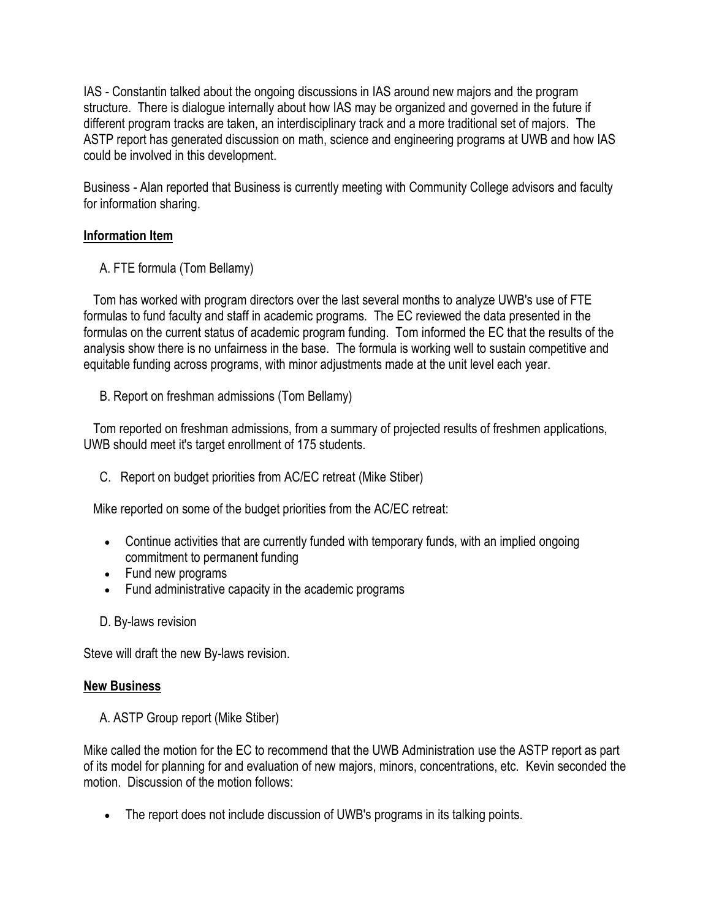IAS - Constantin talked about the ongoing discussions in IAS around new majors and the program structure. There is dialogue internally about how IAS may be organized and governed in the future if different program tracks are taken, an interdisciplinary track and a more traditional set of majors. The ASTP report has generated discussion on math, science and engineering programs at UWB and how IAS could be involved in this development.

Business - Alan reported that Business is currently meeting with Community College advisors and faculty for information sharing.

# **Information Item**

A. FTE formula (Tom Bellamy)

 Tom has worked with program directors over the last several months to analyze UWB's use of FTE formulas to fund faculty and staff in academic programs. The EC reviewed the data presented in the formulas on the current status of academic program funding. Tom informed the EC that the results of the analysis show there is no unfairness in the base. The formula is working well to sustain competitive and equitable funding across programs, with minor adjustments made at the unit level each year.

B. Report on freshman admissions (Tom Bellamy)

 Tom reported on freshman admissions, from a summary of projected results of freshmen applications, UWB should meet it's target enrollment of 175 students.

C. Report on budget priorities from AC/EC retreat (Mike Stiber)

Mike reported on some of the budget priorities from the AC/EC retreat:

- Continue activities that are currently funded with temporary funds, with an implied ongoing commitment to permanent funding
- Fund new programs
- Fund administrative capacity in the academic programs
- D. By-laws revision

Steve will draft the new By-laws revision.

#### **New Business**

A. ASTP Group report (Mike Stiber)

Mike called the motion for the EC to recommend that the UWB Administration use the ASTP report as part of its model for planning for and evaluation of new majors, minors, concentrations, etc. Kevin seconded the motion. Discussion of the motion follows:

The report does not include discussion of UWB's programs in its talking points.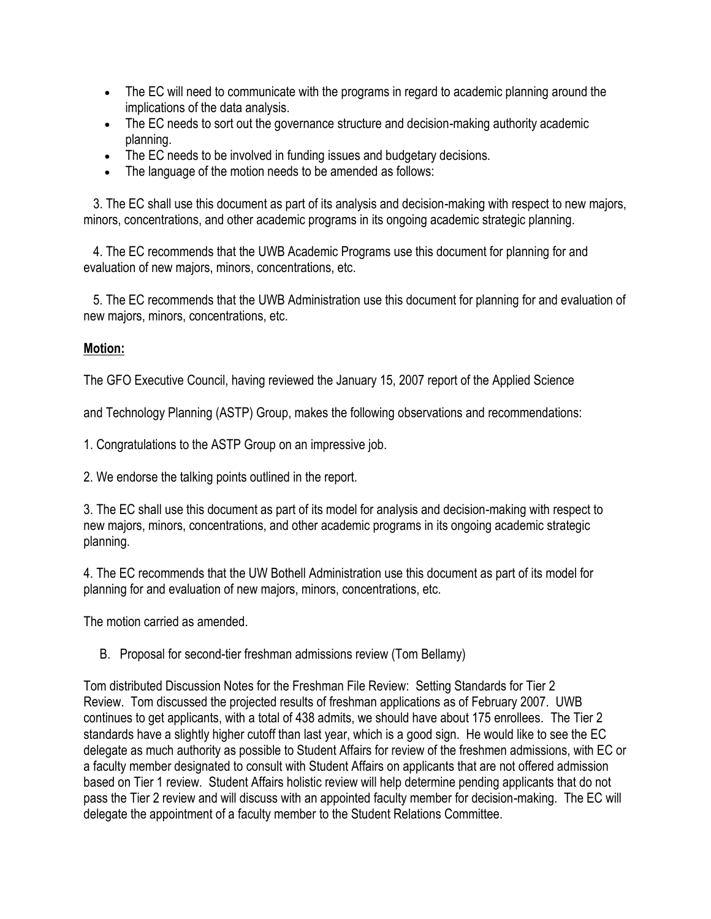- The EC will need to communicate with the programs in regard to academic planning around the implications of the data analysis.
- The EC needs to sort out the governance structure and decision-making authority academic planning.
- The EC needs to be involved in funding issues and budgetary decisions.
- The language of the motion needs to be amended as follows:

 3. The EC shall use this document as part of its analysis and decision-making with respect to new majors, minors, concentrations, and other academic programs in its ongoing academic strategic planning.

 4. The EC recommends that the UWB Academic Programs use this document for planning for and evaluation of new majors, minors, concentrations, etc.

 5. The EC recommends that the UWB Administration use this document for planning for and evaluation of new majors, minors, concentrations, etc.

#### **Motion:**

The GFO Executive Council, having reviewed the January 15, 2007 report of the Applied Science

and Technology Planning (ASTP) Group, makes the following observations and recommendations:

1. Congratulations to the ASTP Group on an impressive job.

2. We endorse the talking points outlined in the report.

3. The EC shall use this document as part of its model for analysis and decision-making with respect to new majors, minors, concentrations, and other academic programs in its ongoing academic strategic planning.

4. The EC recommends that the UW Bothell Administration use this document as part of its model for planning for and evaluation of new majors, minors, concentrations, etc.

The motion carried as amended.

B. Proposal for second-tier freshman admissions review (Tom Bellamy)

Tom distributed Discussion Notes for the Freshman File Review: Setting Standards for Tier 2 Review. Tom discussed the projected results of freshman applications as of February 2007. UWB continues to get applicants, with a total of 438 admits, we should have about 175 enrollees. The Tier 2 standards have a slightly higher cutoff than last year, which is a good sign. He would like to see the EC delegate as much authority as possible to Student Affairs for review of the freshmen admissions, with EC or a faculty member designated to consult with Student Affairs on applicants that are not offered admission based on Tier 1 review. Student Affairs holistic review will help determine pending applicants that do not pass the Tier 2 review and will discuss with an appointed faculty member for decision-making. The EC will delegate the appointment of a faculty member to the Student Relations Committee.